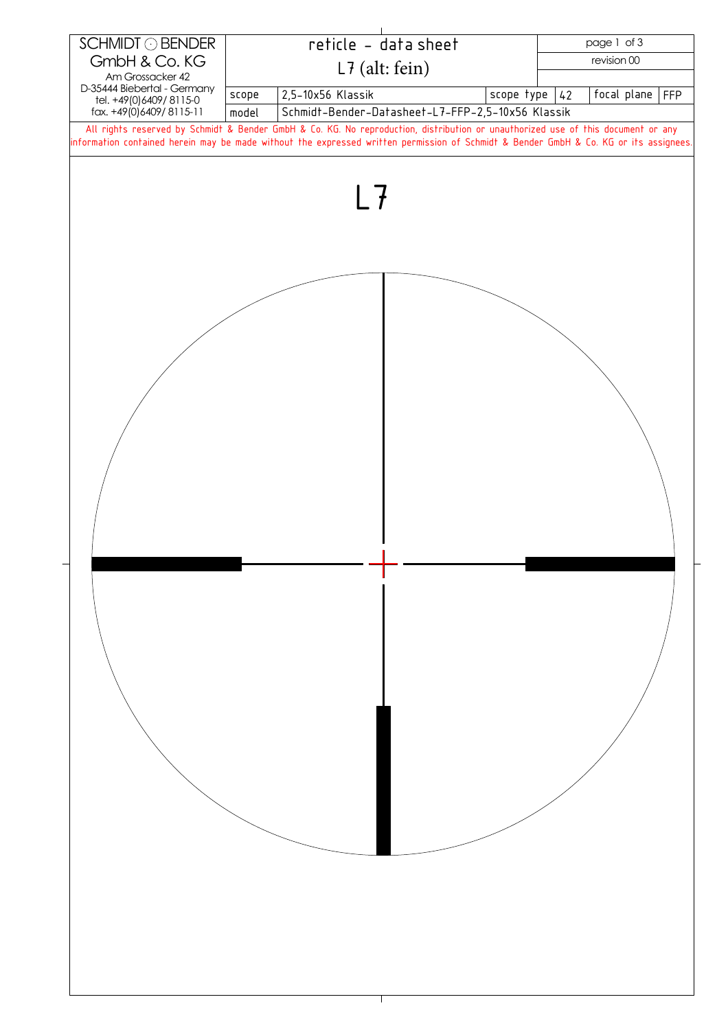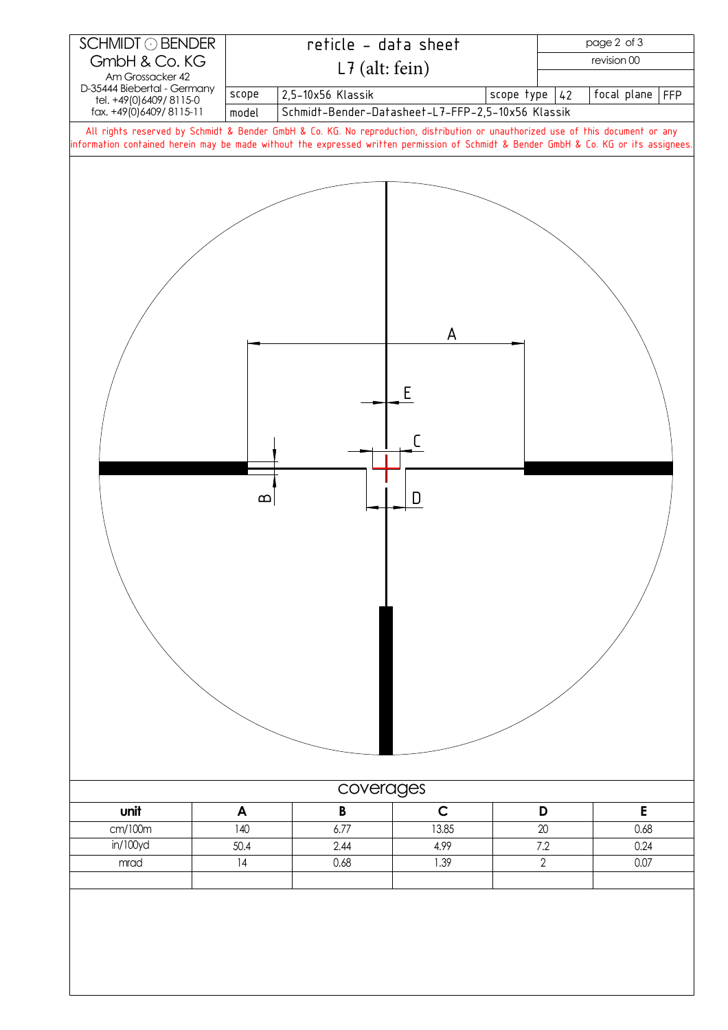